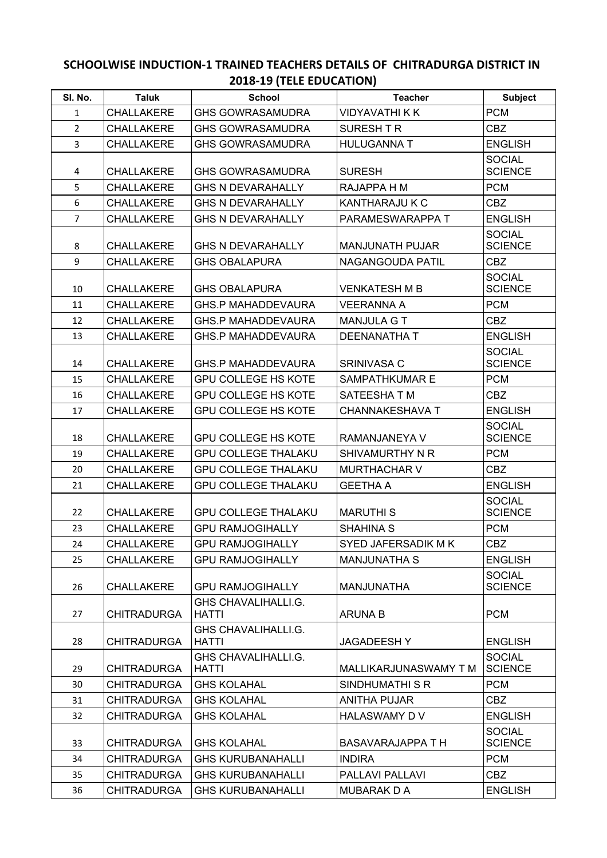## **SCHOOLWISE INDUCTION-1 TRAINED TEACHERS DETAILS OF CHITRADURGA DISTRICT IN 2018-19 (TELE EDUCATION)**

| SI. No.        | <b>Taluk</b>       | <b>School</b>                       | <b>Teacher</b>           | <b>Subject</b>                  |
|----------------|--------------------|-------------------------------------|--------------------------|---------------------------------|
| 1              | CHALLAKERE         | <b>GHS GOWRASAMUDRA</b>             | <b>VIDYAVATHI K K</b>    | <b>PCM</b>                      |
| $\overline{2}$ | CHALLAKERE         | <b>GHS GOWRASAMUDRA</b>             | <b>SURESH T R</b>        | <b>CBZ</b>                      |
| $\overline{3}$ | <b>CHALLAKERE</b>  | <b>GHS GOWRASAMUDRA</b>             | <b>HULUGANNA T</b>       | <b>ENGLISH</b>                  |
| 4              | CHALLAKERE         | <b>GHS GOWRASAMUDRA</b>             | <b>SURESH</b>            | <b>SOCIAL</b><br><b>SCIENCE</b> |
| 5              | CHALLAKERE         | <b>GHS N DEVARAHALLY</b>            | RAJAPPA H M              | <b>PCM</b>                      |
| 6              | <b>CHALLAKERE</b>  | <b>GHS N DEVARAHALLY</b>            | KANTHARAJU K C           | <b>CBZ</b>                      |
| $\overline{7}$ | <b>CHALLAKERE</b>  | <b>GHS N DEVARAHALLY</b>            | PARAMESWARAPPA T         | <b>ENGLISH</b>                  |
| 8              | CHALLAKERE         | <b>GHS N DEVARAHALLY</b>            | <b>MANJUNATH PUJAR</b>   | <b>SOCIAL</b><br><b>SCIENCE</b> |
| 9              | <b>CHALLAKERE</b>  | <b>GHS OBALAPURA</b>                | NAGANGOUDA PATIL         | <b>CBZ</b>                      |
| 10             | CHALLAKERE         | <b>GHS OBALAPURA</b>                | <b>VENKATESH M B</b>     | <b>SOCIAL</b><br><b>SCIENCE</b> |
| 11             | <b>CHALLAKERE</b>  | <b>GHS.P MAHADDEVAURA</b>           | <b>VEERANNA A</b>        | <b>PCM</b>                      |
| 12             | <b>CHALLAKERE</b>  | <b>GHS.P MAHADDEVAURA</b>           | <b>MANJULA GT</b>        | <b>CBZ</b>                      |
| 13             | <b>CHALLAKERE</b>  | <b>GHS.P MAHADDEVAURA</b>           | <b>DEENANATHA T</b>      | <b>ENGLISH</b>                  |
| 14             | CHALLAKERE         | <b>GHS.P MAHADDEVAURA</b>           | SRINIVASA C              | <b>SOCIAL</b><br><b>SCIENCE</b> |
| 15             | <b>CHALLAKERE</b>  | <b>GPU COLLEGE HS KOTE</b>          | <b>SAMPATHKUMAR E</b>    | <b>PCM</b>                      |
| 16             | CHALLAKERE         | <b>GPU COLLEGE HS KOTE</b>          | SATEESHATM               | <b>CBZ</b>                      |
| 17             | <b>CHALLAKERE</b>  | <b>GPU COLLEGE HS KOTE</b>          | <b>CHANNAKESHAVA T</b>   | <b>ENGLISH</b>                  |
| 18             | CHALLAKERE         | <b>GPU COLLEGE HS KOTE</b>          | RAMANJANEYA V            | <b>SOCIAL</b><br><b>SCIENCE</b> |
| 19             | CHALLAKERE         | <b>GPU COLLEGE THALAKU</b>          | SHIVAMURTHY N R          | <b>PCM</b>                      |
| 20             | CHALLAKERE         | <b>GPU COLLEGE THALAKU</b>          | <b>MURTHACHAR V</b>      | <b>CBZ</b>                      |
| 21             | CHALLAKERE         | <b>GPU COLLEGE THALAKU</b>          | <b>GEETHA A</b>          | <b>ENGLISH</b>                  |
| 22             | CHALLAKERE         | <b>GPU COLLEGE THALAKU</b>          | <b>MARUTHIS</b>          | <b>SOCIAL</b><br><b>SCIENCE</b> |
| 23             | <b>CHALLAKERE</b>  | <b>GPU RAMJOGIHALLY</b>             | <b>SHAHINA S</b>         | <b>PCM</b>                      |
| 24             | CHALLAKERE         | <b>GPU RAMJOGIHALLY</b>             | SYED JAFERSADIK M K      | CBZ                             |
| 25             | <b>CHALLAKERE</b>  | <b>GPU RAMJOGIHALLY</b>             | <b>MANJUNATHA S</b>      | <b>ENGLISH</b>                  |
| 26             | <b>CHALLAKERE</b>  | <b>GPU RAMJOGIHALLY</b>             | MANJUNATHA               | <b>SOCIAL</b><br><b>SCIENCE</b> |
| 27             | <b>CHITRADURGA</b> | GHS CHAVALIHALLI.G.<br><b>HATTI</b> | <b>ARUNA B</b>           | <b>PCM</b>                      |
| 28             | <b>CHITRADURGA</b> | GHS CHAVALIHALLI.G.<br><b>HATTI</b> | <b>JAGADEESHY</b>        | <b>ENGLISH</b>                  |
| 29             | <b>CHITRADURGA</b> | GHS CHAVALIHALLI.G.<br><b>HATTI</b> | MALLIKARJUNASWAMY T M    | <b>SOCIAL</b><br><b>SCIENCE</b> |
| 30             | <b>CHITRADURGA</b> | <b>GHS KOLAHAL</b>                  | <b>SINDHUMATHI S R</b>   | <b>PCM</b>                      |
| 31             | <b>CHITRADURGA</b> | <b>GHS KOLAHAL</b>                  | <b>ANITHA PUJAR</b>      | <b>CBZ</b>                      |
| 32             | <b>CHITRADURGA</b> | <b>GHS KOLAHAL</b>                  | HALASWAMY D V            | <b>ENGLISH</b>                  |
| 33             | <b>CHITRADURGA</b> | <b>GHS KOLAHAL</b>                  | <b>BASAVARAJAPPA T H</b> | <b>SOCIAL</b><br><b>SCIENCE</b> |
| 34             | <b>CHITRADURGA</b> | <b>GHS KURUBANAHALLI</b>            | <b>INDIRA</b>            | <b>PCM</b>                      |
| 35             | <b>CHITRADURGA</b> | <b>GHS KURUBANAHALLI</b>            | PALLAVI PALLAVI          | <b>CBZ</b>                      |
| 36             | <b>CHITRADURGA</b> | <b>GHS KURUBANAHALLI</b>            | MUBARAK D A              | <b>ENGLISH</b>                  |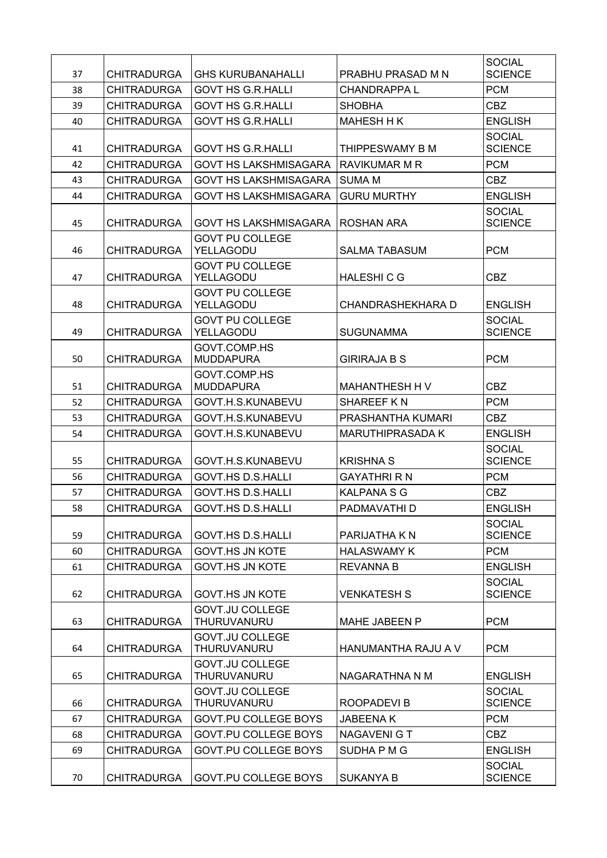| 37 | <b>CHITRADURGA</b> | <b>GHS KURUBANAHALLI</b>                     | PRABHU PRASAD M N        | <b>SOCIAL</b><br><b>SCIENCE</b> |
|----|--------------------|----------------------------------------------|--------------------------|---------------------------------|
| 38 | <b>CHITRADURGA</b> | <b>GOVT HS G.R.HALLI</b>                     | <b>CHANDRAPPAL</b>       | <b>PCM</b>                      |
| 39 | <b>CHITRADURGA</b> | <b>GOVT HS G.R.HALLI</b>                     | <b>SHOBHA</b>            | CBZ                             |
| 40 | <b>CHITRADURGA</b> | <b>GOVT HS G.R.HALLI</b>                     | <b>MAHESH H K</b>        | <b>ENGLISH</b>                  |
|    |                    |                                              |                          | <b>SOCIAL</b>                   |
| 41 | <b>CHITRADURGA</b> | <b>GOVT HS G.R.HALLI</b>                     | THIPPESWAMY B M          | <b>SCIENCE</b>                  |
| 42 | <b>CHITRADURGA</b> | <b>GOVT HS LAKSHMISAGARA</b>                 | <b>RAVIKUMAR M R</b>     | <b>PCM</b>                      |
| 43 | <b>CHITRADURGA</b> | <b>GOVT HS LAKSHMISAGARA</b>                 | <b>SUMA M</b>            | <b>CBZ</b>                      |
| 44 | <b>CHITRADURGA</b> | <b>GOVT HS LAKSHMISAGARA</b>                 | <b>GURU MURTHY</b>       | <b>ENGLISH</b>                  |
| 45 | <b>CHITRADURGA</b> | <b>GOVT HS LAKSHMISAGARA</b>                 | ROSHAN ARA               | <b>SOCIAL</b><br><b>SCIENCE</b> |
| 46 | <b>CHITRADURGA</b> | <b>GOVT PU COLLEGE</b><br>YELLAGODU          | <b>SALMA TABASUM</b>     | <b>PCM</b>                      |
| 47 | <b>CHITRADURGA</b> | <b>GOVT PU COLLEGE</b><br>YELLAGODU          | <b>HALESHICG</b>         | <b>CBZ</b>                      |
|    |                    | <b>GOVT PU COLLEGE</b>                       |                          |                                 |
| 48 | <b>CHITRADURGA</b> | YELLAGODU                                    | <b>CHANDRASHEKHARA D</b> | <b>ENGLISH</b>                  |
| 49 | <b>CHITRADURGA</b> | <b>GOVT PU COLLEGE</b><br>YELLAGODU          | <b>SUGUNAMMA</b>         | <b>SOCIAL</b><br><b>SCIENCE</b> |
| 50 | <b>CHITRADURGA</b> | GOVT.COMP.HS<br><b>MUDDAPURA</b>             | <b>GIRIRAJA B S</b>      | <b>PCM</b>                      |
| 51 | <b>CHITRADURGA</b> | GOVT.COMP.HS<br><b>MUDDAPURA</b>             | MAHANTHESH H V           | <b>CBZ</b>                      |
| 52 | <b>CHITRADURGA</b> | GOVT.H.S.KUNABEVU                            | SHAREEF KN               | <b>PCM</b>                      |
| 53 | <b>CHITRADURGA</b> | GOVT.H.S.KUNABEVU                            | PRASHANTHA KUMARI        | <b>CBZ</b>                      |
| 54 | <b>CHITRADURGA</b> | GOVT.H.S.KUNABEVU                            | <b>MARUTHIPRASADA K</b>  | <b>ENGLISH</b>                  |
| 55 | <b>CHITRADURGA</b> | GOVT.H.S.KUNABEVU                            | <b>KRISHNA S</b>         | <b>SOCIAL</b><br><b>SCIENCE</b> |
| 56 | <b>CHITRADURGA</b> | <b>GOVT.HS D.S.HALLI</b>                     | <b>GAYATHRI R N</b>      | <b>PCM</b>                      |
| 57 | <b>CHITRADURGA</b> | <b>GOVT.HS D.S.HALLI</b>                     | <b>KALPANA S G</b>       | <b>CBZ</b>                      |
| 58 | <b>CHITRADURGA</b> | GOVT.HS D.S.HALLI                            | PADMAVATHI D             | <b>ENGLISH</b>                  |
| 59 | <b>CHITRADURGA</b> | <b>GOVT.HS D.S.HALLI</b>                     | PARIJATHA K N            | <b>SOCIAL</b><br><b>SCIENCE</b> |
| 60 | <b>CHITRADURGA</b> | <b>GOVT.HS JN KOTE</b>                       | <b>HALASWAMY K</b>       | <b>PCM</b>                      |
| 61 | <b>CHITRADURGA</b> | <b>GOVT.HS JN KOTE</b>                       | <b>REVANNA B</b>         | <b>ENGLISH</b>                  |
|    |                    |                                              |                          | <b>SOCIAL</b>                   |
| 62 | <b>CHITRADURGA</b> | <b>GOVT.HS JN KOTE</b>                       | <b>VENKATESH S</b>       | <b>SCIENCE</b>                  |
| 63 | <b>CHITRADURGA</b> | <b>GOVT.JU COLLEGE</b><br>THURUVANURU        | MAHE JABEEN P            | <b>PCM</b>                      |
| 64 | <b>CHITRADURGA</b> | <b>GOVT.JU COLLEGE</b><br>THURUVANURU        | HANUMANTHA RAJU A V      | <b>PCM</b>                      |
| 65 | <b>CHITRADURGA</b> | <b>GOVT.JU COLLEGE</b><br>THURUVANURU        | NAGARATHNA N M           | <b>ENGLISH</b>                  |
| 66 | <b>CHITRADURGA</b> | <b>GOVT.JU COLLEGE</b><br><b>THURUVANURU</b> | ROOPADEVI B              | <b>SOCIAL</b><br><b>SCIENCE</b> |
| 67 | <b>CHITRADURGA</b> | <b>GOVT.PU COLLEGE BOYS</b>                  | <b>JABEENAK</b>          | <b>PCM</b>                      |
| 68 | <b>CHITRADURGA</b> | <b>GOVT.PU COLLEGE BOYS</b>                  | NAGAVENI G T             | <b>CBZ</b>                      |
| 69 | <b>CHITRADURGA</b> | <b>GOVT.PU COLLEGE BOYS</b>                  | SUDHA P M G              | <b>ENGLISH</b>                  |
| 70 | <b>CHITRADURGA</b> | GOVT.PU COLLEGE BOYS                         | <b>SUKANYA B</b>         | <b>SOCIAL</b><br><b>SCIENCE</b> |